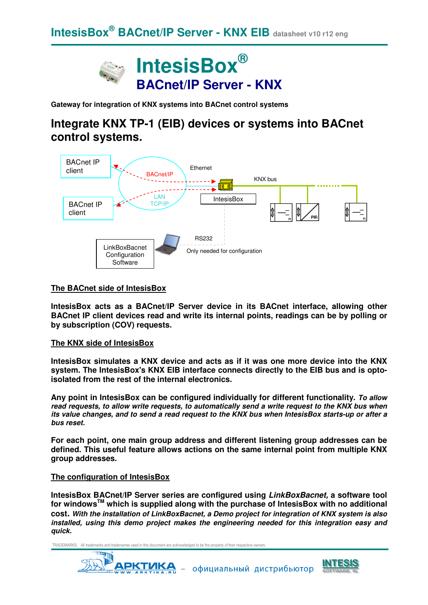

**Gateway for integration of KNX systems into BACnet control systems** 

# **Integrate KNX TP-1 (EIB) devices or systems into BACnet control systems.**



#### **The BACnet side of IntesisBox**

**IntesisBox acts as a BACnet/IP Server device in its BACnet interface, allowing other BACnet IP client devices read and write its internal points, readings can be by polling or by subscription (COV) requests.** 

#### **The KNX side of IntesisBox**

**IntesisBox simulates a KNX device and acts as if it was one more device into the KNX system. The IntesisBox's KNX EIB interface connects directly to the EIB bus and is optoisolated from the rest of the internal electronics.**

**Any point in IntesisBox can be configured individually for different functionality. To allow read requests, to allow write requests, to automatically send a write request to the KNX bus when its value changes, and to send a read request to the KNX bus when IntesisBox starts-up or after a bus reset.**

**For each point, one main group address and different listening group addresses can be defined. This useful feature allows actions on the same internal point from multiple KNX group addresses.** 

#### **The configuration of IntesisBox**

**IntesisBox BACnet/IP Server series are configured using LinkBoxBacnet, a software tool for windowsTM which is supplied along with the purchase of IntesisBox with no additional cost. With the installation of LinkBoxBacnet, a Demo project for integration of KNX system is also installed, using this demo project makes the engineering needed for this integration easy and quick.**

TRADEMARKS: All trademarks and tradenames used in this document are acknowledged to be the property of their respective owners.

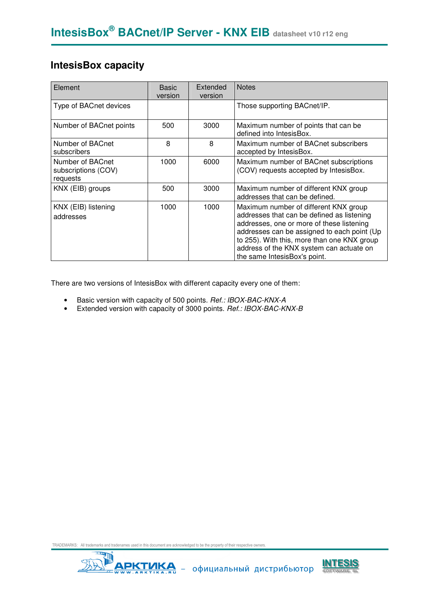### **IntesisBox capacity**

| Element                                             | <b>Basic</b><br>version | Extended<br>version | <b>Notes</b>                                                                                                                                                                                                                                                                                               |
|-----------------------------------------------------|-------------------------|---------------------|------------------------------------------------------------------------------------------------------------------------------------------------------------------------------------------------------------------------------------------------------------------------------------------------------------|
| Type of BACnet devices                              |                         |                     | Those supporting BACnet/IP.                                                                                                                                                                                                                                                                                |
| Number of BACnet points                             | 500                     | 3000                | Maximum number of points that can be<br>defined into IntesisBox.                                                                                                                                                                                                                                           |
| Number of BACnet<br>subscribers                     | 8                       | 8                   | Maximum number of BACnet subscribers<br>accepted by IntesisBox.                                                                                                                                                                                                                                            |
| Number of BACnet<br>subscriptions (COV)<br>requests | 1000                    | 6000                | Maximum number of BACnet subscriptions<br>(COV) requests accepted by IntesisBox.                                                                                                                                                                                                                           |
| KNX (EIB) groups                                    | 500                     | 3000                | Maximum number of different KNX group<br>addresses that can be defined.                                                                                                                                                                                                                                    |
| KNX (EIB) listening<br>addresses                    | 1000                    | 1000                | Maximum number of different KNX group<br>addresses that can be defined as listening<br>addresses, one or more of these listening<br>addresses can be assigned to each point (Up<br>to 255). With this, more than one KNX group<br>address of the KNX system can actuate on<br>the same IntesisBox's point. |

There are two versions of IntesisBox with different capacity every one of them:

- Basic version with capacity of 500 points. Ref.: IBOX-BAC-KNX-A
- Extended version with capacity of 3000 points. Ref.: IBOX-BAC-KNX-B



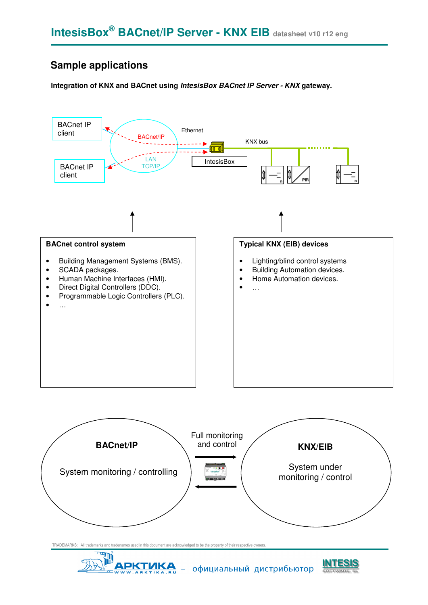### **Sample applications**

**Integration of KNX and BACnet using IntesisBox BACnet IP Server - KNX gateway.** 



TRADEMARKS: All trademarks and tradenames used in this document are acknowledged to be the property of their respective o



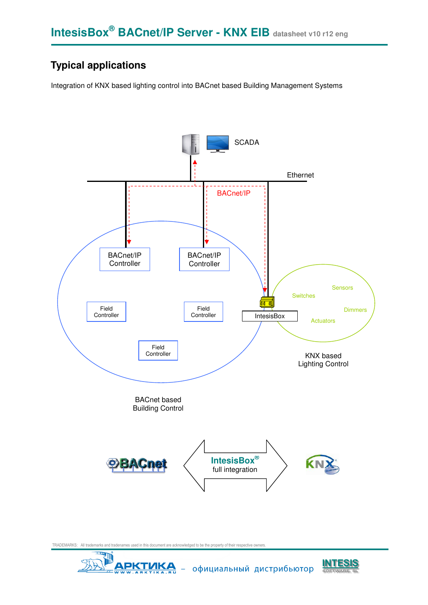## **Typical applications**

Integration of KNX based lighting control into BACnet based Building Management Systems



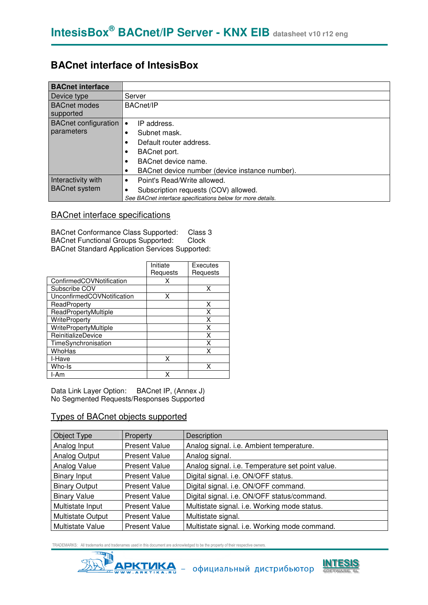### **BACnet interface of IntesisBox**

| <b>BACnet interface</b>          |                                                             |
|----------------------------------|-------------------------------------------------------------|
| Device type                      | Server                                                      |
| <b>BACnet modes</b><br>supported | <b>BACnet/IP</b>                                            |
| <b>BACnet configuration</b>      | IP address.<br>$\bullet$                                    |
| parameters                       | Subnet mask.                                                |
|                                  | Default router address.<br>٠                                |
|                                  | BACnet port.                                                |
|                                  | BACnet device name.                                         |
|                                  | BACnet device number (device instance number).              |
| Interactivity with               | Point's Read/Write allowed.<br>$\bullet$                    |
| <b>BACnet system</b>             | Subscription requests (COV) allowed.                        |
|                                  | See BACnet interface specifications below for more details. |

### BACnet interface specifications

BACnet Conformance Class Supported: Class 3<br>BACnet Functional Groups Supported: Clock BACnet Functional Groups Supported: BACnet Standard Application Services Supported:

|                            | Initiate | Executes |
|----------------------------|----------|----------|
|                            | Requests | Requests |
| ConfirmedCOVNotification   | x        |          |
| Subscribe COV              |          | x        |
| UnconfirmedCOVNotification | x        |          |
| ReadProperty               |          | x        |
| ReadPropertyMultiple       |          | Χ        |
| <b>WriteProperty</b>       |          | Χ        |
| WritePropertyMultiple      |          | Χ        |
| <b>ReinitializeDevice</b>  |          | x        |
| TimeSynchronisation        |          | x        |
| WhoHas                     |          | x        |
| I-Have                     | x        |          |
| Who-Is                     |          | x        |
| I-Am                       |          |          |

Data Link Layer Option: BACnet IP, (Annex J) No Segmented Requests/Responses Supported

### Types of BACnet objects supported

| Object Type              | <b>Property</b>      | Description                                      |
|--------------------------|----------------------|--------------------------------------------------|
| Analog Input             | <b>Present Value</b> | Analog signal. i.e. Ambient temperature.         |
| Analog Output            | <b>Present Value</b> | Analog signal.                                   |
| Analog Value             | Present Value        | Analog signal. i.e. Temperature set point value. |
| <b>Binary Input</b>      | <b>Present Value</b> | Digital signal. i.e. ON/OFF status.              |
| <b>Binary Output</b>     | <b>Present Value</b> | Digital signal. i.e. ON/OFF command.             |
| <b>Binary Value</b>      | Present Value        | Digital signal. i.e. ON/OFF status/command.      |
| Multistate Input         | <b>Present Value</b> | Multistate signal. i.e. Working mode status.     |
| <b>Multistate Output</b> | <b>Present Value</b> | Multistate signal.                               |
| Multistate Value         | <b>Present Value</b> | Multistate signal. i.e. Working mode command.    |



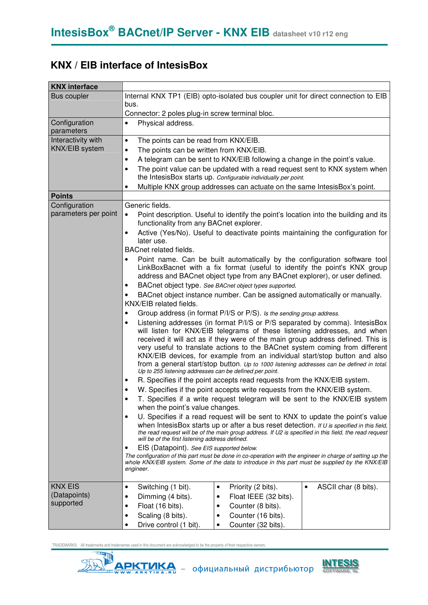## **KNX / EIB interface of IntesisBox**

| <b>KNX</b> interface        |                                                                                                                                                                                                                                                                                                                                                                                                                                                                                                                                                                      |  |  |  |  |  |  |  |
|-----------------------------|----------------------------------------------------------------------------------------------------------------------------------------------------------------------------------------------------------------------------------------------------------------------------------------------------------------------------------------------------------------------------------------------------------------------------------------------------------------------------------------------------------------------------------------------------------------------|--|--|--|--|--|--|--|
| Bus coupler                 | Internal KNX TP1 (EIB) opto-isolated bus coupler unit for direct connection to EIB<br>bus.                                                                                                                                                                                                                                                                                                                                                                                                                                                                           |  |  |  |  |  |  |  |
|                             | Connector: 2 poles plug-in screw terminal bloc.                                                                                                                                                                                                                                                                                                                                                                                                                                                                                                                      |  |  |  |  |  |  |  |
| Configuration<br>parameters | Physical address.                                                                                                                                                                                                                                                                                                                                                                                                                                                                                                                                                    |  |  |  |  |  |  |  |
| Interactivity with          | The points can be read from KNX/EIB.<br>$\bullet$                                                                                                                                                                                                                                                                                                                                                                                                                                                                                                                    |  |  |  |  |  |  |  |
| KNX/EIB system              | The points can be written from KNX/EIB.<br>٠                                                                                                                                                                                                                                                                                                                                                                                                                                                                                                                         |  |  |  |  |  |  |  |
|                             | A telegram can be sent to KNX/EIB following a change in the point's value.<br>٠                                                                                                                                                                                                                                                                                                                                                                                                                                                                                      |  |  |  |  |  |  |  |
|                             | The point value can be updated with a read request sent to KNX system when<br>٠<br>the IntesisBox starts up. Configurable individually per point.                                                                                                                                                                                                                                                                                                                                                                                                                    |  |  |  |  |  |  |  |
|                             | Multiple KNX group addresses can actuate on the same IntesisBox's point.<br>٠                                                                                                                                                                                                                                                                                                                                                                                                                                                                                        |  |  |  |  |  |  |  |
| <b>Points</b>               |                                                                                                                                                                                                                                                                                                                                                                                                                                                                                                                                                                      |  |  |  |  |  |  |  |
| Configuration               | Generic fields.                                                                                                                                                                                                                                                                                                                                                                                                                                                                                                                                                      |  |  |  |  |  |  |  |
| parameters per point        | Point description. Useful to identify the point's location into the building and its<br>$\bullet$<br>functionality from any BACnet explorer.                                                                                                                                                                                                                                                                                                                                                                                                                         |  |  |  |  |  |  |  |
|                             | Active (Yes/No). Useful to deactivate points maintaining the configuration for<br>later use.                                                                                                                                                                                                                                                                                                                                                                                                                                                                         |  |  |  |  |  |  |  |
|                             | <b>BACnet related fields.</b>                                                                                                                                                                                                                                                                                                                                                                                                                                                                                                                                        |  |  |  |  |  |  |  |
|                             | Point name. Can be built automatically by the configuration software tool<br>LinkBoxBacnet with a fix format (useful to identify the point's KNX group<br>address and BACnet object type from any BACnet explorer), or user defined.                                                                                                                                                                                                                                                                                                                                 |  |  |  |  |  |  |  |
|                             | BACnet object type. See BACnet object types supported.                                                                                                                                                                                                                                                                                                                                                                                                                                                                                                               |  |  |  |  |  |  |  |
|                             | BACnet object instance number. Can be assigned automatically or manually.                                                                                                                                                                                                                                                                                                                                                                                                                                                                                            |  |  |  |  |  |  |  |
|                             | KNX/EIB related fields.                                                                                                                                                                                                                                                                                                                                                                                                                                                                                                                                              |  |  |  |  |  |  |  |
|                             | Group address (in format P/I/S or P/S). Is the sending group address.<br>$\bullet$                                                                                                                                                                                                                                                                                                                                                                                                                                                                                   |  |  |  |  |  |  |  |
|                             | Listening addresses (in format P/I/S or P/S separated by comma). IntesisBox<br>٠<br>will listen for KNX/EIB telegrams of these listening addresses, and when<br>received it will act as if they were of the main group address defined. This is<br>very useful to translate actions to the BACnet system coming from different<br>KNX/EIB devices, for example from an individual start/stop button and also<br>from a general start/stop button. Up to 1000 listening addresses can be defined in total.<br>Up to 255 listening addresses can be defined per point. |  |  |  |  |  |  |  |
|                             | R. Specifies if the point accepts read requests from the KNX/EIB system.                                                                                                                                                                                                                                                                                                                                                                                                                                                                                             |  |  |  |  |  |  |  |
|                             | W. Specifies if the point accepts write requests from the KNX/EIB system.                                                                                                                                                                                                                                                                                                                                                                                                                                                                                            |  |  |  |  |  |  |  |
|                             | T. Specifies if a write request telegram will be sent to the KNX/EIB system<br>when the point's value changes.                                                                                                                                                                                                                                                                                                                                                                                                                                                       |  |  |  |  |  |  |  |
|                             | U. Specifies if a read request will be sent to KNX to update the point's value<br>$\bullet$<br>when IntesisBox starts up or after a bus reset detection. If U is specified in this field,<br>the read request will be of the main group address. If U2 is specified in this field, the read request<br>will be of the first listening address defined.                                                                                                                                                                                                               |  |  |  |  |  |  |  |
|                             | EIS (Datapoint). See EIS supported below.<br>$\bullet$<br>The configuration of this part must be done in co-operation with the engineer in charge of setting up the<br>whole KNX/EIB system. Some of the data to introduce in this part must be supplied by the KNX/EIB<br>engineer.                                                                                                                                                                                                                                                                                 |  |  |  |  |  |  |  |
| <b>KNX EIS</b>              | Switching (1 bit).<br>Priority (2 bits).<br>ASCII char (8 bits).<br>$\bullet$<br>$\bullet$<br>$\bullet$                                                                                                                                                                                                                                                                                                                                                                                                                                                              |  |  |  |  |  |  |  |
| (Datapoints)                | Dimming (4 bits).<br>Float IEEE (32 bits).<br>$\bullet$<br>٠                                                                                                                                                                                                                                                                                                                                                                                                                                                                                                         |  |  |  |  |  |  |  |
| supported                   | Float (16 bits).<br>Counter (8 bits).<br>$\bullet$<br>٠                                                                                                                                                                                                                                                                                                                                                                                                                                                                                                              |  |  |  |  |  |  |  |
|                             | Counter (16 bits).<br>Scaling (8 bits).<br>$\bullet$<br>$\bullet$                                                                                                                                                                                                                                                                                                                                                                                                                                                                                                    |  |  |  |  |  |  |  |
|                             | Drive control (1 bit).<br>Counter (32 bits).<br>$\bullet$<br>٠                                                                                                                                                                                                                                                                                                                                                                                                                                                                                                       |  |  |  |  |  |  |  |

TRADEMARKS: All trademarks and tradenames used in this document are acknowledged to be the property of their respective owners.

**AND** 

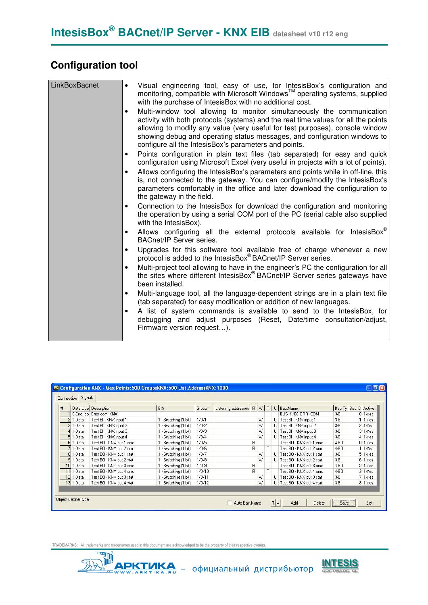# **Configuration tool**

| LinkBoxBacnet | Visual engineering tool, easy of use, for IntesisBox's configuration and<br>monitoring, compatible with Microsoft Windows™ operating systems, supplied<br>with the purchase of IntesisBox with no additional cost.                                                                                                                                                                              |
|---------------|-------------------------------------------------------------------------------------------------------------------------------------------------------------------------------------------------------------------------------------------------------------------------------------------------------------------------------------------------------------------------------------------------|
|               | Multi-window tool allowing to monitor simultaneously the communication<br>$\bullet$<br>activity with both protocols (systems) and the real time values for all the points<br>allowing to modify any value (very useful for test purposes), console window<br>showing debug and operating status messages, and configuration windows to<br>configure all the IntesisBox's parameters and points. |
|               | Points configuration in plain text files (tab separated) for easy and quick<br>٠<br>configuration using Microsoft Excel (very useful in projects with a lot of points).                                                                                                                                                                                                                         |
|               | Allows configuring the IntesisBox's parameters and points while in off-line, this<br>٠<br>is, not connected to the gateway. You can configure/modify the IntesisBox's<br>parameters comfortably in the office and later download the configuration to<br>the gateway in the field.                                                                                                              |
|               | Connection to the IntesisBox for download the configuration and monitoring<br>٠<br>the operation by using a serial COM port of the PC (serial cable also supplied<br>with the IntesisBox).                                                                                                                                                                                                      |
|               | Allows configuring all the external protocols available for IntesisBox <sup>®</sup><br><b>BACnet/IP Server series.</b>                                                                                                                                                                                                                                                                          |
|               | Upgrades for this software tool available free of charge whenever a new<br>protocol is added to the IntesisBox® BACnet/IP Server series.                                                                                                                                                                                                                                                        |
|               | Multi-project tool allowing to have in the engineer's PC the configuration for all<br>the sites where different IntesisBox® BACnet/IP Server series gateways have<br>been installed.                                                                                                                                                                                                            |
|               | Multi-language tool, all the language-dependent strings are in a plain text file<br>٠<br>(tab separated) for easy modification or addition of new languages.                                                                                                                                                                                                                                    |
|               | A list of system commands is available to send to the IntesisBox, for<br>٠<br>debugging and adjust purposes (Reset, Date/time consultation/adjust,<br>Firmware version request).                                                                                                                                                                                                                |
|               |                                                                                                                                                                                                                                                                                                                                                                                                 |

|               | Data type Description     | EIS.                  | Group  | Listening addresses |   | R W |    | U   Bac.Name               |        | Bac. Ty Bac. ID Active |
|---------------|---------------------------|-----------------------|--------|---------------------|---|-----|----|----------------------------|--------|------------------------|
|               | D-Error co Error com, KNX |                       |        |                     |   |     |    | BUS_KNX_ERR_COM            | $3-BI$ | $01 - Yes$             |
| $2 1-D$ ata   | Test BI - KNX input 1     | 1 - Switching (1 bit) | 1/0/1  |                     |   | W   |    | U Test BI - KNX input 1    | $3-BI$ | 11Yes                  |
| 3 1-Data      | Test BI - KNX input 2     | 1 - Switching (1 bit) | 1/0/2  |                     |   | W   |    | U Test BI - KNX input 2    | $3-BI$ | $21$ -Yes              |
| $4 1-D$ ata   | Test BI - KNX input 3     | 1 - Switching [1 bit] | 1/0/3  |                     |   | W   |    | U Test BI - KNX input 3    | $3-BI$ | $31 - Yes$             |
| $511-Data$    | Test BI - KNX input 4     | 1 - Switching (1 bit) | 1/0/4  |                     |   | W   |    | U Test BI - KNX input 4    | $3-BI$ | 41Yes                  |
| 6 1-Data      | Test BO - KNX out 1 cmd   | 1 - Switching (1 bit) | 1/0/5  |                     | R |     | T. | Test BO - KNX out 1 cmd    | 4-BO   | $01 - Yes$             |
| $71 - Data$   | Test BD - KNX out 2 cmd   | 1 - Switching (1 bit) | 1/0/6  |                     | R |     | T. | Test BO - KNX out 2 cmd    | 4-BO   | 11Yes                  |
| 81-Data       | Test BD - KNX out 1 stat  | 1 - Switching [1 bit] | 1/0/7  |                     |   | W   |    | U Test BO - KNX out 1 stat | $3-BI$ | $51 - Yes$             |
| 91-Data       | Test BO - KNX out 2 stat  | 1 - Switching [1 bit] | 1/0/8  |                     |   | W   |    | U Test BO - KNX out 2 stat | $3-BI$ | $61$ -Yes              |
| $10$   1-Data | Test BO - KNX out 3 cmd   | 1 - Switching (1 bit) | 1/0/9  |                     | R |     |    | Test BO - KNX out 3 cmd    | 4-BO   | $21$ -Yes              |
| $11$   1-Data | Test BO - KNX out 4 cmd   | 1 - Switching (1 bit) | 1/0/10 |                     | R |     | T. | Test BO - KNX out 4 cmd    | 4-BO   | $31 - Yes$             |
| $12$   1-Data | Test BO - KNX out 3 stat  | 1 - Switching [1 bit] | 1/0/11 |                     |   | W   |    | U Test BO - KNX out 3 stat | $3-BI$ | $71$ -Yes              |
| 13 1-Data     | Test BO - KNX out 4 stat  | 1 - Switching [1 bit] | 1/0/12 |                     |   | W   |    | U Test BO - KNX out 4 stat | $3-BI$ | $81 - Yes$             |

TRADEMARKS: All trademarks and tradenames used in this document are acknowledged to be the property of their respective owners.<br>
THERE IS AND THE REPORTED TO BE A REPORTED TO BE A REPORTED TO BE A REPORTED TO BE A REPORTED

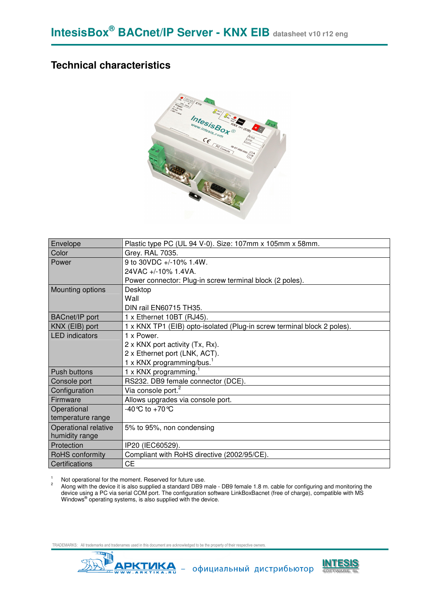### **Technical characteristics**



| Envelope              | Plastic type PC (UL 94 V-0). Size: 107mm x 105mm x 58mm.                |  |  |  |  |
|-----------------------|-------------------------------------------------------------------------|--|--|--|--|
| Color                 | Grey. RAL 7035.                                                         |  |  |  |  |
| Power                 | 9 to 30VDC +/-10% 1.4W.                                                 |  |  |  |  |
|                       | $24VAC + -10\%$ 1.4VA.                                                  |  |  |  |  |
|                       | Power connector: Plug-in screw terminal block (2 poles).                |  |  |  |  |
| Mounting options      | Desktop                                                                 |  |  |  |  |
|                       | Wall                                                                    |  |  |  |  |
|                       | DIN rail EN60715 TH35.                                                  |  |  |  |  |
| <b>BACnet/IP</b> port | 1 x Ethernet 10BT (RJ45).                                               |  |  |  |  |
| KNX (EIB) port        | 1 x KNX TP1 (EIB) opto-isolated (Plug-in screw terminal block 2 poles). |  |  |  |  |
| <b>LED</b> indicators | 1 x Power.                                                              |  |  |  |  |
|                       | 2 x KNX port activity (Tx, Rx).                                         |  |  |  |  |
|                       | 2 x Ethernet port (LNK, ACT).                                           |  |  |  |  |
|                       | 1 x KNX programming/bus. $1$                                            |  |  |  |  |
| <b>Push buttons</b>   | 1 x KNX programming. <sup>1</sup>                                       |  |  |  |  |
| Console port          | RS232. DB9 female connector (DCE).                                      |  |  |  |  |
| Configuration         | Via console port. <sup>2</sup>                                          |  |  |  |  |
| Firmware              | Allows upgrades via console port.                                       |  |  |  |  |
| Operational           | $-40^{\circ}$ C to $+70^{\circ}$ C                                      |  |  |  |  |
| temperature range     |                                                                         |  |  |  |  |
| Operational relative  | 5% to 95%, non condensing                                               |  |  |  |  |
| humidity range        |                                                                         |  |  |  |  |
| Protection            | IP20 (IEC60529).                                                        |  |  |  |  |
| RoHS conformity       | Compliant with RoHS directive (2002/95/CE).                             |  |  |  |  |
| Certifications        | <b>CE</b>                                                               |  |  |  |  |

1 Not operational for the moment. Reserved for future use. 2

 Along with the device it is also supplied a standard DB9 male - DB9 female 1.8 m. cable for configuring and monitoring the device using a PC via serial COM port. The configuration software LinkBoxBacnet (free of charge), compatible with MS Windows<sup>®</sup> operating systems, is also supplied with the device.

TRADEMARKS: All trademarks and tradenames used in this document are acknowledged to be the property of their respective owners.